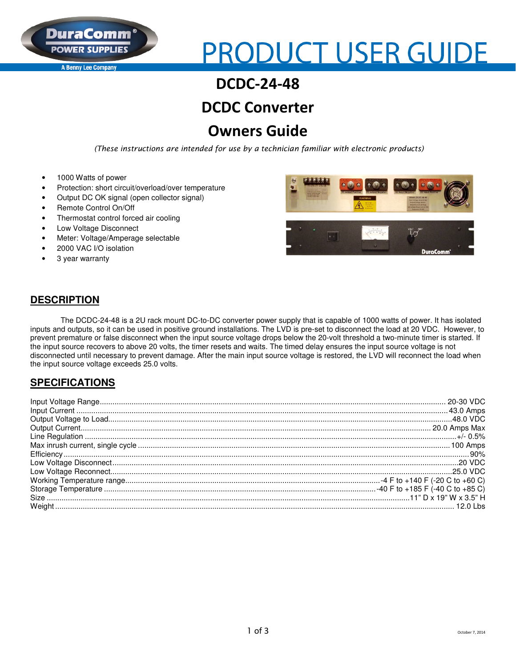

**A Benny Lee Company** 

# **PRODUCT USER GUIDE**

# **DCDC-24-48**

# **DCDC Converter**

# **Owners Guide**

 *(These instructions are intended for use by a technician familiar with electronic products)* 

- 1000 Watts of power
- Protection: short circuit/overload/over temperature
- Output DC OK signal (open collector signal)
- Remote Control On/Off
- Thermostat control forced air cooling
- Low Voltage Disconnect
- Meter: Voltage/Amperage selectable
- 2000 VAC I/O isolation
- 3 year warranty





#### **DESCRIPTION**

The DCDC-24-48 is a 2U rack mount DC-to-DC converter power supply that is capable of 1000 watts of power. It has isolated inputs and outputs, so it can be used in positive ground installations. The LVD is pre-set to disconnect the load at 20 VDC. However, to prevent premature or false disconnect when the input source voltage drops below the 20-volt threshold a two-minute timer is started. If the input source recovers to above 20 volts, the timer resets and waits. The timed delay ensures the input source voltage is not disconnected until necessary to prevent damage. After the main input source voltage is restored, the LVD will reconnect the load when the input source voltage exceeds 25.0 volts.

#### **SPECIFICATIONS**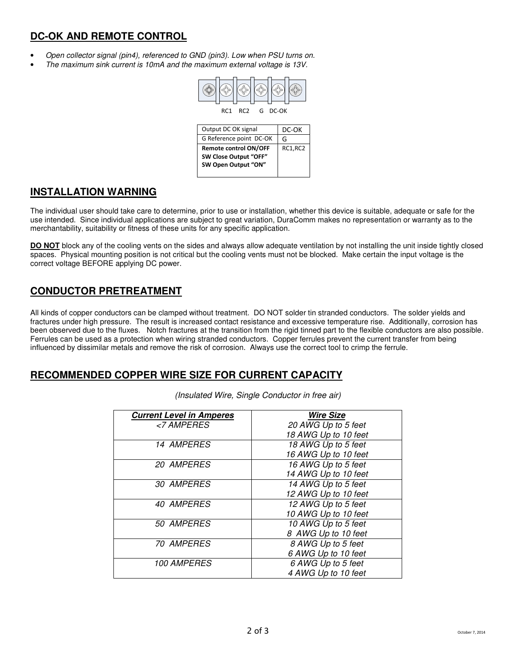#### **DC-OK AND REMOTE CONTROL**

- Open collector signal (pin4), referenced to GND (pin3). Low when PSU turns on.
- The maximum sink current is 10mA and the maximum external voltage is 13V.



| Output DC OK signal          | DC-OK   |
|------------------------------|---------|
| G Reference point DC-OK      | G       |
| <b>Remote control ON/OFF</b> | RC1,RC2 |
| SW Close Output "OFF"        |         |
| SW Open Output "ON"          |         |

#### **INSTALLATION WARNING**

The individual user should take care to determine, prior to use or installation, whether this device is suitable, adequate or safe for the use intended. Since individual applications are subject to great variation, DuraComm makes no representation or warranty as to the merchantability, suitability or fitness of these units for any specific application.

**DO NOT** block any of the cooling vents on the sides and always allow adequate ventilation by not installing the unit inside tightly closed spaces. Physical mounting position is not critical but the cooling vents must not be blocked. Make certain the input voltage is the correct voltage BEFORE applying DC power.

#### **CONDUCTOR PRETREATMENT**

All kinds of copper conductors can be clamped without treatment. DO NOT solder tin stranded conductors. The solder yields and fractures under high pressure. The result is increased contact resistance and excessive temperature rise. Additionally, corrosion has been observed due to the fluxes. Notch fractures at the transition from the rigid tinned part to the flexible conductors are also possible. Ferrules can be used as a protection when wiring stranded conductors. Copper ferrules prevent the current transfer from being influenced by dissimilar metals and remove the risk of corrosion. Always use the correct tool to crimp the ferrule.

#### **RECOMMENDED COPPER WIRE SIZE FOR CURRENT CAPACITY**

| <b>Current Level in Amperes</b> | <b>Wire Size</b>     |
|---------------------------------|----------------------|
| <7 AMPERES                      | 20 AWG Up to 5 feet  |
|                                 | 18 AWG Up to 10 feet |
| 14 AMPERES                      | 18 AWG Up to 5 feet  |
|                                 | 16 AWG Up to 10 feet |
| 20 AMPERES                      | 16 AWG Up to 5 feet  |
|                                 | 14 AWG Up to 10 feet |
| 30 AMPERES                      | 14 AWG Up to 5 feet  |
|                                 | 12 AWG Up to 10 feet |
| 40 AMPERES                      | 12 AWG Up to 5 feet  |
|                                 | 10 AWG Up to 10 feet |
| 50 AMPERES                      | 10 AWG Up to 5 feet  |
|                                 | 8 AWG Up to 10 feet  |
| <i><b>70 AMPERES</b></i>        | 8 AWG Up to 5 feet   |
|                                 | 6 AWG Up to 10 feet  |
| <b>100 AMPERES</b>              | 6 AWG Up to 5 feet   |
|                                 | 4 AWG Up to 10 feet  |

(Insulated Wire, Single Conductor in free air)